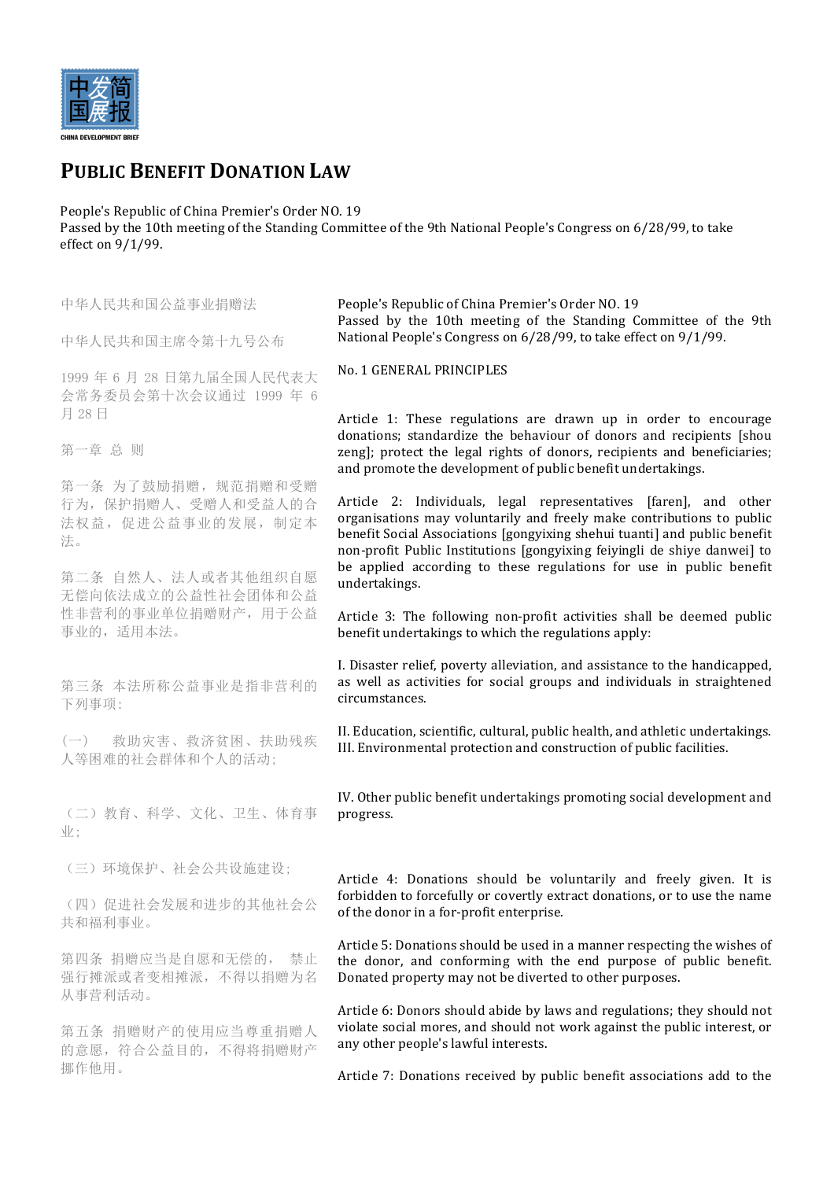

# **PUBLIC BENEFIT DONATION LAW**

People's Republic of China Premier's Order NO. 19 Passed by the 10th meeting of the Standing Committee of the 9th National People's Congress on 6/28/99, to take effect on  $9/1/99$ .

| 中华人民共和国公益事业捐赠法                                                        | People's Republic of China Premier's Order NO. 19<br>Passed by the 10th meeting of the Standing Committee of the 9th                                                                                                                                                                               |
|-----------------------------------------------------------------------|----------------------------------------------------------------------------------------------------------------------------------------------------------------------------------------------------------------------------------------------------------------------------------------------------|
| 中华人民共和国主席令第十九号公布                                                      | National People's Congress on 6/28/99, to take effect on 9/1/99.                                                                                                                                                                                                                                   |
| 1999年6月28日第九届全国人民代表大<br>会常务委员会第十次会议通过 1999 年 6<br>月 28日               | No. 1 GENERAL PRINCIPLES                                                                                                                                                                                                                                                                           |
| 第一章 总 则                                                               | Article 1: These regulations are drawn up in order to encourage<br>donations; standardize the behaviour of donors and recipients [shou<br>zeng]; protect the legal rights of donors, recipients and beneficiaries;<br>and promote the development of public benefit undertakings.                  |
| 第一条 为了鼓励捐赠, 规范捐赠和受赠<br>行为, 保护捐赠人、受赠人和受益人的合<br>法权益,促进公益事业的发展,制定本<br>法。 | Article 2: Individuals, legal representatives [faren], and other<br>organisations may voluntarily and freely make contributions to public<br>benefit Social Associations [gongyixing shehui tuanti] and public benefit<br>non-profit Public Institutions [gongyixing feiyingli de shiye danwei] to |
| 第二条 自然人、法人或者其他组织自愿<br>无偿向依法成立的公益性社会团体和公益                              | be applied according to these regulations for use in public benefit<br>undertakings.                                                                                                                                                                                                               |
| 性非营利的事业单位捐赠财产,用于公益<br>事业的,适用本法。                                       | Article 3: The following non-profit activities shall be deemed public<br>benefit undertakings to which the regulations apply:                                                                                                                                                                      |
| 第三条 本法所称公益事业是指非营利的<br>下列事项:                                           | I. Disaster relief, poverty alleviation, and assistance to the handicapped,<br>as well as activities for social groups and individuals in straightened<br>circumstances.                                                                                                                           |
| (一) 救助灾害、救济贫困、扶助残疾<br>人等困难的社会群体和个人的活动;                                | II. Education, scientific, cultural, public health, and athletic undertakings.<br>III. Environmental protection and construction of public facilities.                                                                                                                                             |
| (二) 教育、科学、文化、卫生、体育事<br>业;                                             | IV. Other public benefit undertakings promoting social development and<br>progress.                                                                                                                                                                                                                |
| (三)环境保护、社会公共设施建设;                                                     | Article 4: Donations should be voluntarily and freely given. It is<br>forbidden to forcefully or covertly extract donations, or to use the name<br>of the donor in a for-profit enterprise.                                                                                                        |
| (四)促进社会发展和进步的其他社会公<br>共和福利事业。                                         |                                                                                                                                                                                                                                                                                                    |
| 第四条 捐赠应当是自愿和无偿的, 禁止<br>强行摊派或者变相摊派, 不得以捐赠为名<br>从事营利活动。                 | Article 5: Donations should be used in a manner respecting the wishes of<br>the donor, and conforming with the end purpose of public benefit.<br>Donated property may not be diverted to other purposes.                                                                                           |
| 第五条 捐赠财产的使用应当尊重捐赠人<br>的意愿, 符合公益目的, 不得将捐赠财产                            | Article 6: Donors should abide by laws and regulations; they should not<br>violate social mores, and should not work against the public interest, or<br>any other people's lawful interests.                                                                                                       |
| 挪作他用。                                                                 | Article 7: Donations received by public benefit associations add to the                                                                                                                                                                                                                            |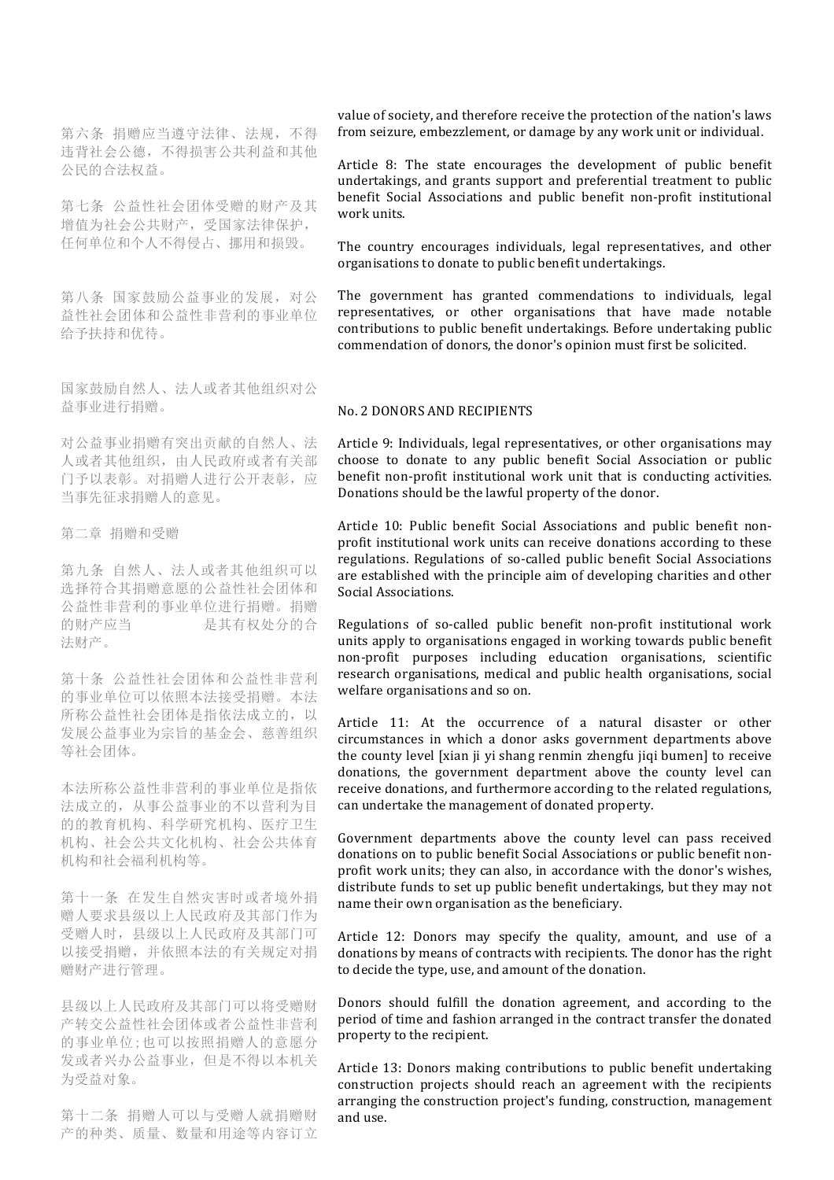第六条 捐赠应当遵守法律、法规,不得 违背社会公德,不得损害公共利益和其他 公民的合法权益。

第七条 公益性社会团体受赠的财产及其 增值为社会公共财产,受国家法律保护, 任何单位和个人不得侵占、挪用和损毁。

第八条 国家鼓励公益事业的发展,对公 益性社会团体和公益性非营利的事业单位 给予扶持和优待。

国家鼓励自然人、法人或者其他组织对公 益事业进行捐赠。

对公益事业捐赠有突出贡献的自然人、法 人或者其他组织,由人民政府或者有关部 门予以表彰。对捐赠人进行公开表彰,应 当事先征求捐赠人的意见。

第二章 捐赠和受赠

第九条 自然人、法人或者其他组织可以 选择符合其捐赠意愿的公益性社会团体和 公益性非营利的事业单位进行捐赠。捐赠 的财产应当 是其有权处分的合 法财产。

第十条 公益性社会团体和公益性非营利 的事业单位可以依照本法接受捐赠。本法 所称公益性社会团体是指依法成立的,以 发展公益事业为宗旨的基金会、慈善组织 等社会团体。

本法所称公益性非营利的事业单位是指依 法成立的,从事公益事业的不以营利为目 的的教育机构、科学研究机构、医疗卫生 机构、社会公共文化机构、社会公共体育 机构和社会福利机构等。

第十一条 在发生自然灾害时或者境外捐 赠人要求县级以上人民政府及其部门作为 受赠人时,县级以上人民政府及其部门可 以接受捐赠,并依照本法的有关规定对捐 赠财产进行管理。

县级以上人民政府及其部门可以将受赠财 产转交公益性社会团体或者公益性非营利 的事业单位;也可以按照捐赠人的意愿分 发或者兴办公益事业,但是不得以本机关 为受益对象。

第十二条 捐赠人可以与受赠人就捐赠财 产的种类、质量、数量和用途等内容订立 value of society, and therefore receive the protection of the nation's laws from seizure, embezzlement, or damage by any work unit or individual.

Article 8: The state encourages the development of public benefit undertakings, and grants support and preferential treatment to public benefit Social Associations and public benefit non-profit institutional work units.

The country encourages individuals, legal representatives, and other organisations to donate to public benefit undertakings.

The government has granted commendations to individuals, legal representatives, or other organisations that have made notable contributions to public benefit undertakings. Before undertaking public commendation of donors, the donor's opinion must first be solicited.

#### No. 2 DONORS AND RECIPIENTS

Article 9: Individuals, legal representatives, or other organisations may choose to donate to any public benefit Social Association or public benefit non-profit institutional work unit that is conducting activities. Donations should be the lawful property of the donor.

Article 10: Public benefit Social Associations and public benefit nonprofit institutional work units can receive donations according to these regulations. Regulations of so-called public benefit Social Associations are established with the principle aim of developing charities and other Social Associations.

Regulations of so-called public benefit non-profit institutional work units apply to organisations engaged in working towards public benefit non-profit purposes including education organisations, scientific research organisations, medical and public health organisations, social welfare organisations and so on.

Article 11: At the occurrence of a natural disaster or other circumstances in which a donor asks government departments above the county level [xian ji yi shang renmin zhengfu jiqi bumen] to receive donations, the government department above the county level can receive donations, and furthermore according to the related regulations, can undertake the management of donated property.

Government departments above the county level can pass received donations on to public benefit Social Associations or public benefit nonprofit work units; they can also, in accordance with the donor's wishes, distribute funds to set up public benefit undertakings, but they may not name their own organisation as the beneficiary.

Article 12: Donors may specify the quality, amount, and use of a donations by means of contracts with recipients. The donor has the right to decide the type, use, and amount of the donation.

Donors should fulfill the donation agreement, and according to the period of time and fashion arranged in the contract transfer the donated property to the recipient.

Article 13: Donors making contributions to public benefit undertaking construction projects should reach an agreement with the recipients arranging the construction project's funding, construction, management and use.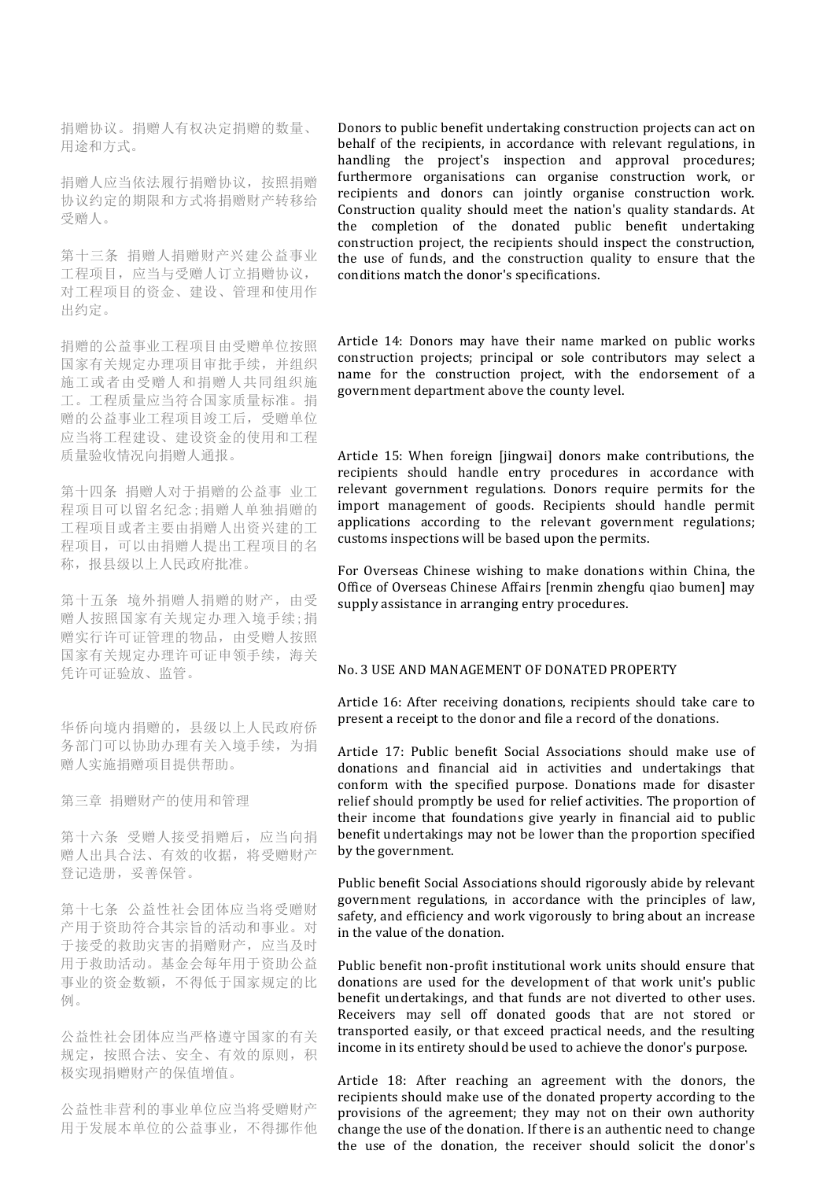捐赠协议。捐赠人有权决定捐赠的数量、 用途和方式。

捐赠人应当依法履行捐赠协议,按照捐赠 协议约定的期限和方式将捐赠财产转移给 受赠人。

第十三条 捐赠人捐赠财产兴建公益事业 工程项目,应当与受赠人订立捐赠协议, 对工程项目的资金、建设、管理和使用作 出约定。

捐赠的公益事业工程项目由受赠单位按照 国家有关规定办理项目审批手续,并组织 施工或者由受赠人和捐赠人共同组织施 工。工程质量应当符合国家质量标准。捐 赠的公益事业工程项目竣工后,受赠单位 应当将工程建设、建设资金的使用和工程 质量验收情况向捐赠人通报。

第十四条 捐赠人对于捐赠的公益事 业工 程项目可以留名纪念;捐赠人单独捐赠的 工程项目或者主要由捐赠人出资兴建的工 程项目,可以由捐赠人提出工程项目的名 称,报县级以上人民政府批准。

第十五条 境外捐赠人捐赠的财产,由受 赠人按照国家有关规定办理入境手续;捐 赠实行许可证管理的物品,由受赠人按照 国家有关规定办理许可证申领手续,海关 凭许可证验放、监管。

华侨向境内捐赠的,县级以上人民政府侨 务部门可以协助办理有关入境手续,为捐 赠人实施捐赠项目提供帮助。

第三章 捐赠财产的使用和管理

第十六条 受赠人接受捐赠后,应当向捐 赠人出具合法、有效的收据,将受赠财产 登记造册,妥善保管。

第十七条 公益性社会团体应当将受赠财 产用于资助符合其宗旨的活动和事业。对 于接受的救助灾害的捐赠财产,应当及时 用于救助活动。基金会每年用于资助公益 事业的资金数额,不得低于国家规定的比 例。

公益性社会团体应当严格遵守国家的有关 规定,按照合法、安全、有效的原则,积 极实现捐赠财产的保值增值。

公益性非营利的事业单位应当将受赠财产 用于发展本单位的公益事业,不得挪作他 Donors to public benefit undertaking construction projects can act on behalf of the recipients, in accordance with relevant regulations, in handling the project's inspection and approval procedures; furthermore organisations can organise construction work, or recipients and donors can jointly organise construction work. Construction quality should meet the nation's quality standards. At the completion of the donated public benefit undertaking construction project, the recipients should inspect the construction, the use of funds, and the construction quality to ensure that the conditions match the donor's specifications.

Article 14: Donors may have their name marked on public works construction projects; principal or sole contributors may select a name for the construction project, with the endorsement of a government department above the county level.

Article 15: When foreign [iingwai] donors make contributions, the recipients should handle entry procedures in accordance with relevant government regulations. Donors require permits for the import management of goods. Recipients should handle permit applications according to the relevant government regulations; customs inspections will be based upon the permits.

For Overseas Chinese wishing to make donations within China, the Office of Overseas Chinese Affairs [renmin zhengfu qiao bumen] may supply assistance in arranging entry procedures.

## No. 3 USE AND MANAGEMENT OF DONATED PROPERTY

Article 16: After receiving donations, recipients should take care to present a receipt to the donor and file a record of the donations.

Article 17: Public benefit Social Associations should make use of donations and financial aid in activities and undertakings that conform with the specified purpose. Donations made for disaster relief should promptly be used for relief activities. The proportion of their income that foundations give yearly in financial aid to public benefit undertakings may not be lower than the proportion specified by the government.

Public benefit Social Associations should rigorously abide by relevant government regulations, in accordance with the principles of law, safety, and efficiency and work vigorously to bring about an increase in the value of the donation.

Public benefit non-profit institutional work units should ensure that donations are used for the development of that work unit's public benefit undertakings, and that funds are not diverted to other uses. Receivers may sell off donated goods that are not stored or transported easily, or that exceed practical needs, and the resulting income in its entirety should be used to achieve the donor's purpose.

Article 18: After reaching an agreement with the donors, the recipients should make use of the donated property according to the provisions of the agreement; they may not on their own authority change the use of the donation. If there is an authentic need to change the use of the donation, the receiver should solicit the donor's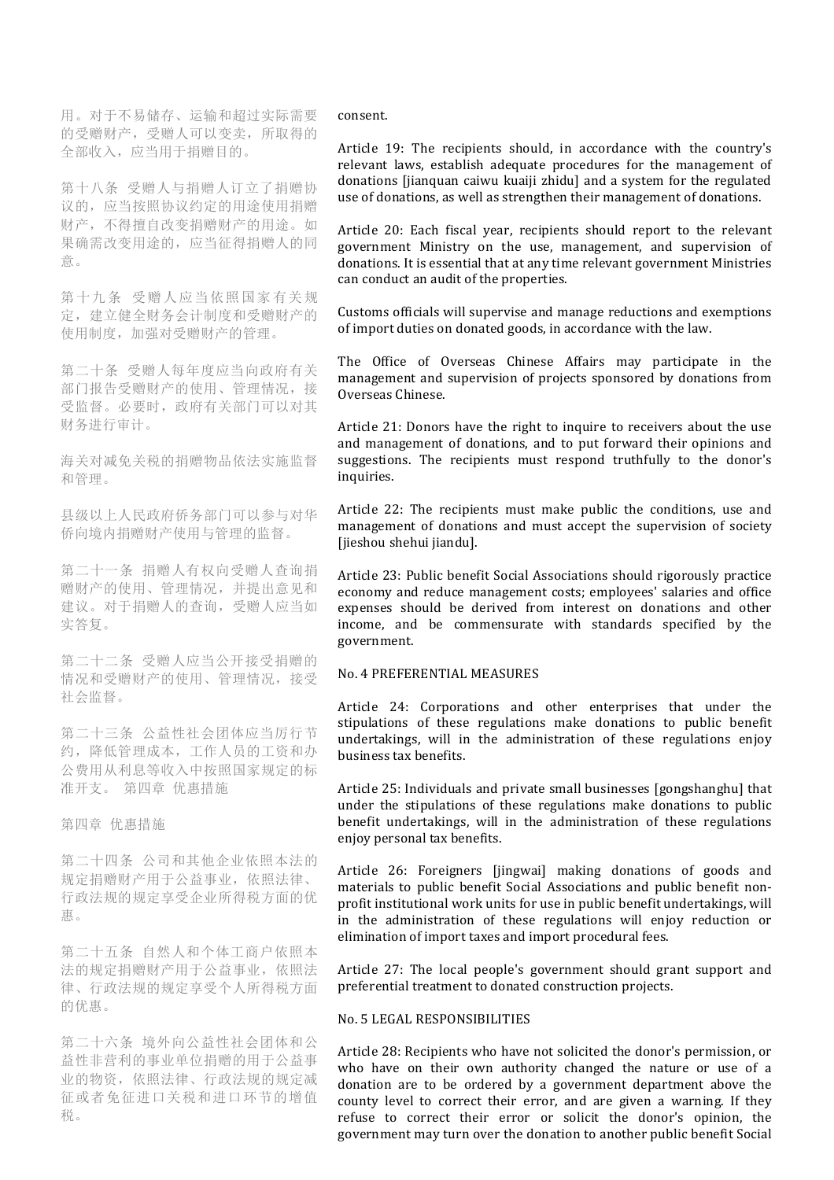用。对于不易储存、运输和超过实际需要 的受赠财产,受赠人可以变卖,所取得的 全部收入,应当用于捐赠目的。

第十八条 受赠人与捐赠人订立了捐赠协 议的,应当按照协议约定的用途使用捐赠 财产,不得擅自改变捐赠财产的用途。如 果确需改变用途的,应当征得捐赠人的同 意。

第十九条 受赠人应当依照国家有关规 定,建立健全财务会计制度和受赠财产的 使用制度,加强对受赠财产的管理。

第二十条 受赠人每年度应当向政府有关 部门报告受赠财产的使用、管理情况,接 受监督。必要时,政府有关部门可以对其 财务进行审计。

海关对减免关税的捐赠物品依法实施监督 和管理。

县级以上人民政府侨务部门可以参与对华 侨向境内捐赠财产使用与管理的监督。

第二十一条 捐赠人有权向受赠人查询捐 赠财产的使用、管理情况,并提出意见和 建议。对于捐赠人的查询,受赠人应当如 实答复。

第二十二条 受赠人应当公开接受捐赠的 情况和受赠财产的使用、管理情况,接受 社会监督。

第二十三条 公益性社会团体应当厉行节 约,降低管理成本,工作人员的工资和办 公费用从利息等收入中按照国家规定的标 准开支。 第四章 优惠措施

第四章 优惠措施

第二十四条 公司和其他企业依照本法的 规定捐赠财产用于公益事业,依照法律、 行政法规的规定享受企业所得税方面的优 惠。

第二十五条 自然人和个体工商户依照本 法的规定捐赠财产用于公益事业,依照法 律、行政法规的规定享受个人所得税方面 的优惠。

第二十六条 境外向公益性社会团体和公 益性非营利的事业单位捐赠的用于公益事 业的物资,依照法律、行政法规的规定减 征或者免征进口关税和进口环节的增值 税。

consent.

Article 19: The recipients should, in accordance with the country's relevant laws, establish adequate procedures for the management of donations lijanquan caiwu kuaiji zhidul and a system for the regulated use of donations, as well as strengthen their management of donations.

Article 20: Each fiscal year, recipients should report to the relevant government Ministry on the use, management, and supervision of donations. It is essential that at any time relevant government Ministries can conduct an audit of the properties.

Customs officials will supervise and manage reductions and exemptions of import duties on donated goods, in accordance with the law.

The Office of Overseas Chinese Affairs may participate in the management and supervision of projects sponsored by donations from Overseas Chinese.

Article 21: Donors have the right to inquire to receivers about the use and management of donations, and to put forward their opinions and suggestions. The recipients must respond truthfully to the donor's inquiries.

Article 22: The recipients must make public the conditions, use and management of donations and must accept the supervision of society [jieshou shehui jiandu].

Article 23: Public benefit Social Associations should rigorously practice economy and reduce management costs; employees' salaries and office expenses should be derived from interest on donations and other income, and be commensurate with standards specified by the government.

## No. 4 PREFERENTIAL MEASURES

Article 24: Corporations and other enterprises that under the stipulations of these regulations make donations to public benefit undertakings, will in the administration of these regulations enjoy business tax benefits.

Article 25: Individuals and private small businesses [gongshanghu] that under the stipulations of these regulations make donations to public benefit undertakings, will in the administration of these regulations enjoy personal tax benefits.

Article 26: Foreigners [jingwai] making donations of goods and materials to public benefit Social Associations and public benefit nonprofit institutional work units for use in public benefit undertakings, will in the administration of these regulations will enjoy reduction or elimination of import taxes and import procedural fees.

Article 27: The local people's government should grant support and preferential treatment to donated construction projects.

### No. 5 LEGAL RESPONSIBILITIES

Article 28: Recipients who have not solicited the donor's permission, or who have on their own authority changed the nature or use of a donation are to be ordered by a government department above the county level to correct their error, and are given a warning. If they refuse to correct their error or solicit the donor's opinion, the government may turn over the donation to another public benefit Social